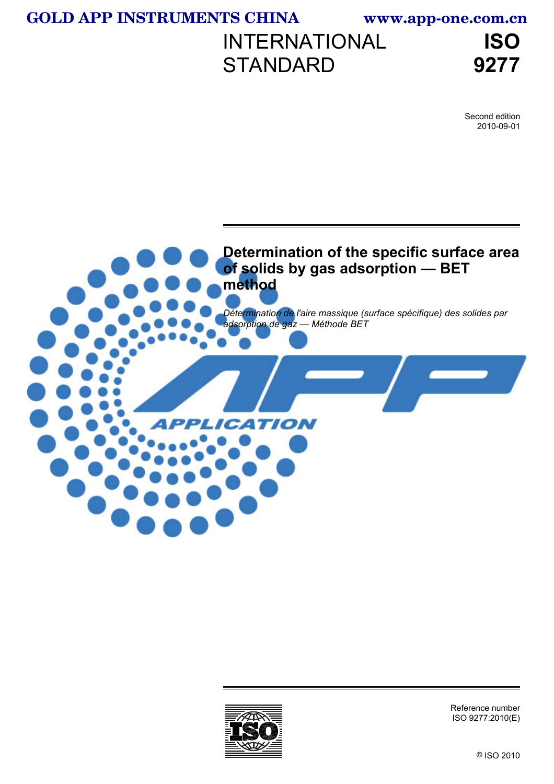# INTERNATIONAL **STANDARD GOLD APP INSTRUMENTS CHINA www.app-one.com.cn**

# **ISO 9277**

Second edition 2010-09-01





Reference number ISO 9277:2010(E)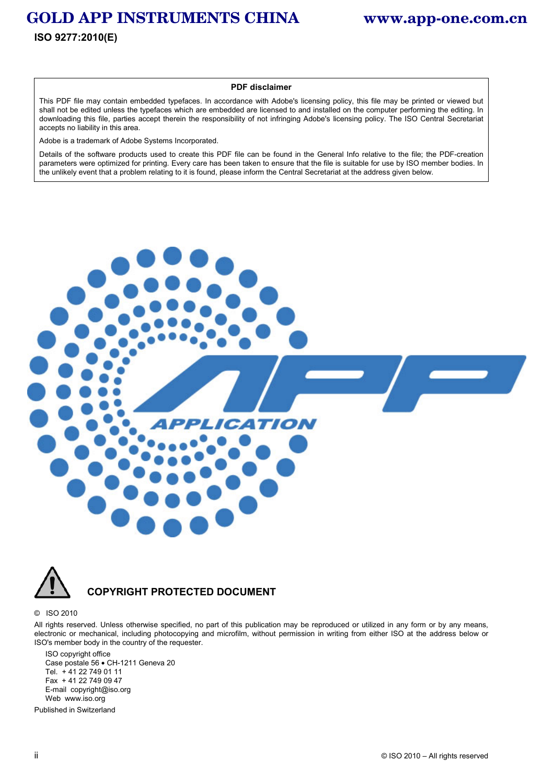**ISO 9277:2010(E)** 

#### **PDF disclaimer**

This PDF file may contain embedded typefaces. In accordance with Adobe's licensing policy, this file may be printed or viewed but shall not be edited unless the typefaces which are embedded are licensed to and installed on the computer performing the editing. In downloading this file, parties accept therein the responsibility of not infringing Adobe's licensing policy. The ISO Central Secretariat accepts no liability in this area.

Adobe is a trademark of Adobe Systems Incorporated.

Details of the software products used to create this PDF file can be found in the General Info relative to the file; the PDF-creation parameters were optimized for printing. Every care has been taken to ensure that the file is suitable for use by ISO member bodies. In the unlikely event that a problem relating to it is found, please inform the Central Secretariat at the address given below.





### **COPYRIGHT PROTECTED DOCUMENT**

#### © ISO 2010

All rights reserved. Unless otherwise specified, no part of this publication may be reproduced or utilized in any form or by any means, electronic or mechanical, including photocopying and microfilm, without permission in writing from either ISO at the address below or ISO's member body in the country of the requester.

ISO copyright office Case postale 56 • CH-1211 Geneva 20 Tel. + 41 22 749 01 11 Fax + 41 22 749 09 47 E-mail copyright@iso.org Web www.iso.org

Published in Switzerland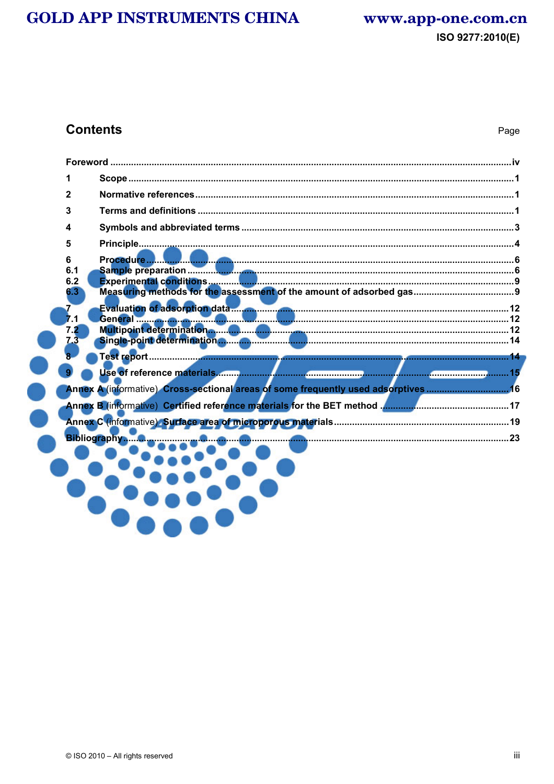### **GOLD APP INSTRUMENTS CHINA**

www.app-one.com.cn

ISO 9277:2010(E)

### **Contents**

| 1                             |                                                                                                                                                                                                                                      |  |
|-------------------------------|--------------------------------------------------------------------------------------------------------------------------------------------------------------------------------------------------------------------------------------|--|
| 2                             |                                                                                                                                                                                                                                      |  |
| 3                             |                                                                                                                                                                                                                                      |  |
| 4                             |                                                                                                                                                                                                                                      |  |
| 5                             |                                                                                                                                                                                                                                      |  |
| 6<br>6.1<br>6.2<br>6.3<br>7.3 | General <b>Contract of the Contract of the Contract of the Contract of the Contract of the Contract of the Contract of the Contract of the Contract of the Contract of the Contract of the Contract of the Contract of the Contr</b> |  |
|                               | Annex A (informative) Cross-sectional areas of some frequently used adsorptives 16                                                                                                                                                   |  |
|                               |                                                                                                                                                                                                                                      |  |
|                               |                                                                                                                                                                                                                                      |  |
|                               |                                                                                                                                                                                                                                      |  |
|                               |                                                                                                                                                                                                                                      |  |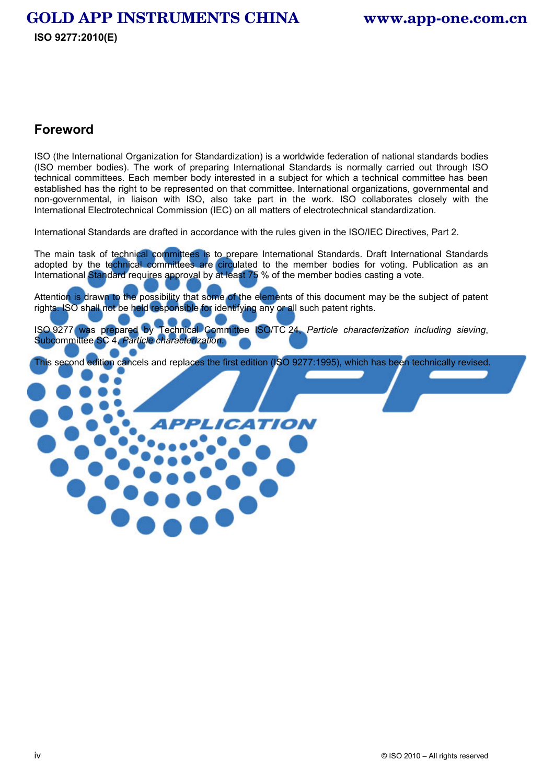### **ISO 9277:2010(E) GOLD APP INSTRUMENTS CHINA www.app-one.com.cn**

### <span id="page-3-0"></span>**Foreword**

ISO (the International Organization for Standardization) is a worldwide federation of national standards bodies (ISO member bodies). The work of preparing International Standards is normally carried out through ISO technical committees. Each member body interested in a subject for which a technical committee has been established has the right to be represented on that committee. International organizations, governmental and non-governmental, in liaison with ISO, also take part in the work. ISO collaborates closely with the International Electrotechnical Commission (IEC) on all matters of electrotechnical standardization.

International Standards are drafted in accordance with the rules given in the ISO/IEC Directives, Part 2.

The main task of technical committees is to prepare International Standards. Draft International Standards adopted by the technical committees are circulated to the member bodies for voting. Publication as an International Standard requires approval by at least 75 % of the member bodies casting a vote.

Attention is drawn to the possibility that some of the elements of this document may be the subject of patent rights. ISO shall not be held responsible for identifying any or all such patent rights.

ISO 9277 was prepared by Technical Committee ISO/TC 24, *Particle characterization including sieving*, Subcommittee SC 4, *Particle characterization*.

This second edition cancels and replaces the first edition (ISO 9277:1995), which has been technically revised.

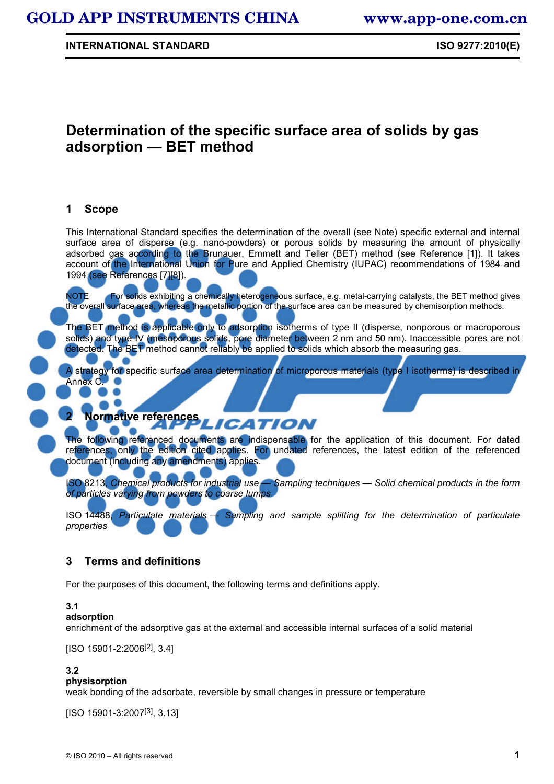#### **INTERNATIONAL STANDARD ISO 9277:2010(E)**

### <span id="page-4-0"></span>**[Determination of the specific surface area of solids by gas](#page-4-0)  adsorption — BET method**

#### <span id="page-4-1"></span>**1 Scope**

This International Standard specifies the determination of the overall (see Note) specific external and internal surface area of disperse (e.g. nano-powders) or porous solids by measuring the amount of physically adsorbed gas according to the Brunauer, Emmett and Teller (BET) method (see Reference [1]). It takes account of the International Union for Pure and Applied Chemistry (IUPAC) recommendations of 1984 and 1994 (see References [7][8]).

NOTE For solids exhibiting a chemically heterogeneous surface, e.g. metal-carrying catalysts, the BET method gives the overall surface area, whereas the metallic portion of the surface area can be measured by chemisorption methods.

The BET method is applicable only to adsorption isotherms of type II (disperse, nonporous or macroporous solids) and type IV (mesoporous solids, pore diameter between 2 nm and 50 nm). Inaccessible pores are not detected. The BET method cannot reliably be applied to solids which absorb the measuring gas.

A strategy for specific surface area determination of microporous materials (type I isotherms) is described in Annex C.

# <span id="page-4-2"></span>**Normative references LICATION**

The following referenced documents are indispensable for the application of this document. For dated references, only the edition cited applies. For undated references, the latest edition of the referenced document (including any amendments) applies.

ISO 8213, *Chemical products for industrial use — Sampling techniques — Solid chemical products in the form of particles varying from powders to coarse lumps*

ISO 14488, *Particulate materials — Sampling and sample splitting for the determination of particulate properties*

#### <span id="page-4-3"></span>**3 Terms and definitions**

For the purposes of this document, the following terms and definitions apply.

#### **3.1**

#### **adsorption**

enrichment of the adsorptive gas at the external and accessible internal surfaces of a solid material

[ISO 15901-2:2006<sup>[2]</sup>, 3.4]

#### **3.2**

#### **physisorption**

weak bonding of the adsorbate, reversible by small changes in pressure or temperature

[ISO 15901-3:2007[3], 3.13]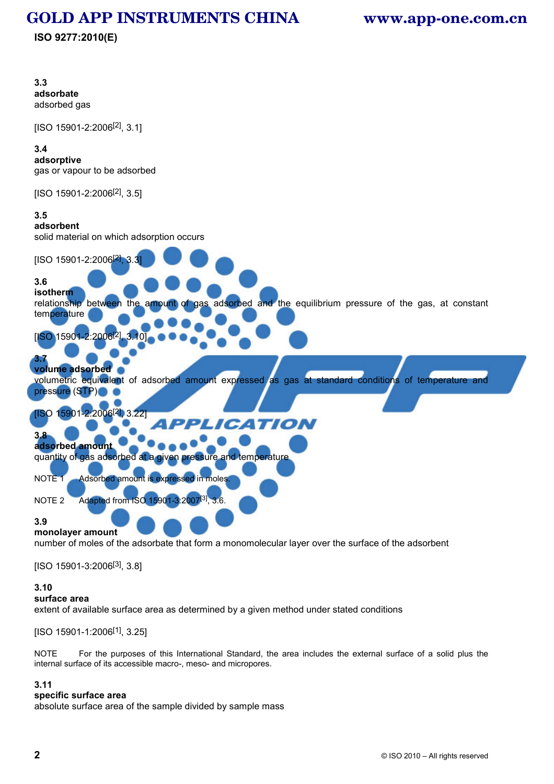**ISO 9277:2010(E)** 

### **3.3 adsorbate**  adsorbed gas [ISO 15901-2:2006<sup>[2]</sup>, 3.1] **3.4 adsorptive**  gas or vapour to be adsorbed [ISO 15901-2:2006<sup>[2]</sup>, 3.5] **3.5 adsorbent**  solid material on which adsorption occurs  $[ISO 15901 - 2:2006]^{2}]$ **3.6 isotherm**  relationship between the amount of gas adsorbed and the equilibrium pressure of the gas, at constant temperature SO 15901-2:2006<sup>[2]</sup> **3.7 volume adsorbed**  volumetric equivalent of adsorbed amount expressed as gas at standard conditions of temperature and pressure (STP) [ISO 15901-2:2006[2], 3.22] **CATION 3.8 adsorbed amount**  quantity of gas adsorbed at a given pressure and temperature NOTE 1 Adsorbed amount is expressed in moles NOTE 2 Adapted from ISO 15901-3:2007[3], 3.6. **3.9 monolayer amount**  number of moles of the adsorbate that form a monomolecular layer over the surface of the adsorbent

 $[ISO 15901-3:2006^{[3]}, 3.8]$ 

#### **3.10**

#### **surface area**

extent of available surface area as determined by a given method under stated conditions

[ISO 15901-1:2006<sup>[1]</sup>, 3.25]

NOTE For the purposes of this International Standard, the area includes the external surface of a solid plus the internal surface of its accessible macro-, meso- and micropores.

#### **3.11**

#### **specific surface area**

absolute surface area of the sample divided by sample mass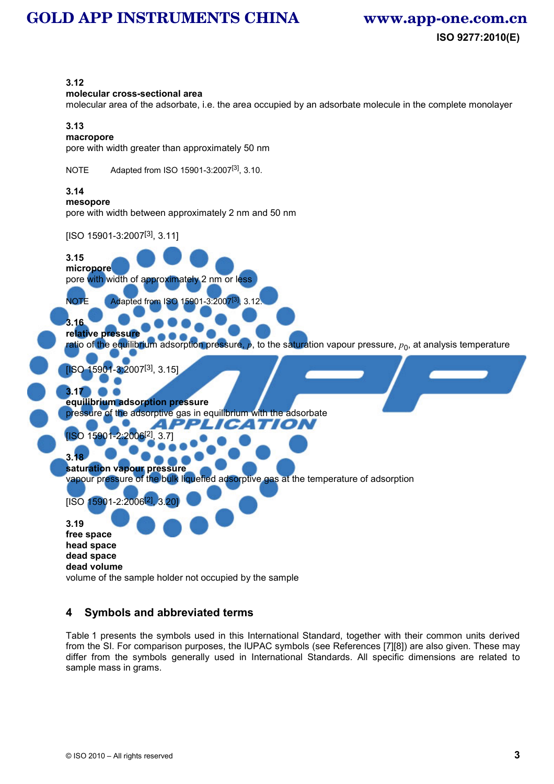**ISO 9277:2010(E)** 

#### **3.12**

#### **molecular cross-sectional area**

molecular area of the adsorbate, i.e. the area occupied by an adsorbate molecule in the complete monolayer

#### **3.13**

#### **macropore**

pore with width greater than approximately 50 nm

NOTE Adapted from ISO 15901-3:2007<sup>[3]</sup>, 3.10.

#### **3.14**

#### **mesopore**

pore with width between approximately 2 nm and 50 nm

[ISO 15901-3:2007<sup>[3]</sup>, 3.11]



#### <span id="page-6-0"></span>**4 Symbols and abbreviated terms**

Table 1 presents the symbols used in this International Standard, together with their common units derived from the SI. For comparison purposes, the lUPAC symbols (see References [7][8]) are also given. These may differ from the symbols generally used in International Standards. All specific dimensions are related to sample mass in grams.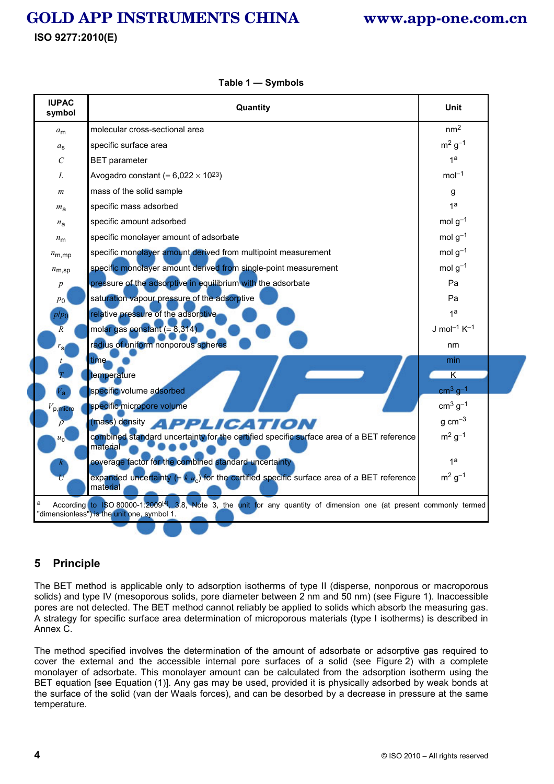### **ISO 9277:2010(E) GOLD APP INSTRUMENTS CHINA www.app-one.com.cn**

| <b>IUPAC</b><br>symbol | Quantity                                                                                                                                                                          | Unit                           |
|------------------------|-----------------------------------------------------------------------------------------------------------------------------------------------------------------------------------|--------------------------------|
| $a_{\rm m}$            | molecular cross-sectional area                                                                                                                                                    | nm <sup>2</sup>                |
| $a_{\rm s}$            | specific surface area                                                                                                                                                             | $m^2$ g <sup>-1</sup>          |
| $\mathcal{C}_{0}^{0}$  | <b>BET</b> parameter                                                                                                                                                              | 1 <sup>a</sup>                 |
| L                      | Avogadro constant (= $6,022 \times 10^{23}$ )                                                                                                                                     | $mol-1$                        |
| $\boldsymbol{m}$       | mass of the solid sample                                                                                                                                                          | g                              |
| $m_{\rm a}$            | specific mass adsorbed                                                                                                                                                            | 1 <sup>a</sup>                 |
| $n_{\rm a}$            | specific amount adsorbed                                                                                                                                                          | mol $g^{-1}$                   |
| $n_{\rm m}$            | specific monolayer amount of adsorbate                                                                                                                                            | mol $g^{-1}$                   |
| $n_{m,mp}$             | specific monolayer amount derived from multipoint measurement                                                                                                                     | mol $g^{-1}$                   |
| $n_{m,sp}$             | specific monolayer amount derived from single-point measurement                                                                                                                   | mol $g^{-1}$                   |
| $\boldsymbol{p}$       | pressure of the adsorptive in equilibrium with the adsorbate                                                                                                                      | Pa                             |
| $p_0$                  | saturation vapour pressure of the adsorptive                                                                                                                                      | Pa                             |
| $p/p_0$                | relative pressure of the adsorptive                                                                                                                                               | 1 <sup>a</sup>                 |
| $\overline{R}$         | molar gas constant $(=8,314)$                                                                                                                                                     | $J$ mol <sup>-1</sup> $K^{-1}$ |
| ້sl                    | radius of uniform nonporous spheres                                                                                                                                               | nm                             |
|                        | time                                                                                                                                                                              | min                            |
|                        | temperature                                                                                                                                                                       | $\overline{K}$                 |
| ΄a                     | specific volume adsorbed                                                                                                                                                          | $cm3 g-1$                      |
| $V_{\text{p,micro}}$   | specific micropore volume                                                                                                                                                         | $cm3 g-1$                      |
| $\overline{\rho}$      | (mass) density <b><i>APPLICATION</i></b>                                                                                                                                          | $g \text{ cm}^{-3}$            |
| $u_{\rm c}$            | combined standard uncertainty for the certified specific surface area of a BET reference<br>material                                                                              | $m^2$ g <sup>-1</sup>          |
|                        | coverage factor for the combined standard uncertainty                                                                                                                             | 1 <sup>a</sup>                 |
|                        | expanded uncertainty (= $k u_c$ ) for the certified specific surface area of a BET reference<br>material                                                                          | $m^2$ g <sup>-1</sup>          |
|                        | According to ISO 80000-1:2009 <sup>[4]</sup> , 3.8, Note 3, the unit for any quantity of dimension one (at present commonly termed<br>"dimensionless") is the unit one, symbol 1. |                                |

#### **Table 1 — Symbols**

### <span id="page-7-0"></span>**5 Principle**

The BET method is applicable only to adsorption isotherms of type II (disperse, nonporous or macroporous solids) and type IV (mesoporous solids, pore diameter between 2 nm and 50 nm) (see Figure 1). Inaccessible pores are not detected. The BET method cannot reliably be applied to solids which absorb the measuring gas. A strategy for specific surface area determination of microporous materials (type I isotherms) is described in Annex C.

The method specified involves the determination of the amount of adsorbate or adsorptive gas required to cover the external and the accessible internal pore surfaces of a solid (see Figure 2) with a complete monolayer of adsorbate. This monolayer amount can be calculated from the adsorption isotherm using the BET equation [see Equation (1)]. Any gas may be used, provided it is physically adsorbed by weak bonds at the surface of the solid (van der Waals forces), and can be desorbed by a decrease in pressure at the same temperature.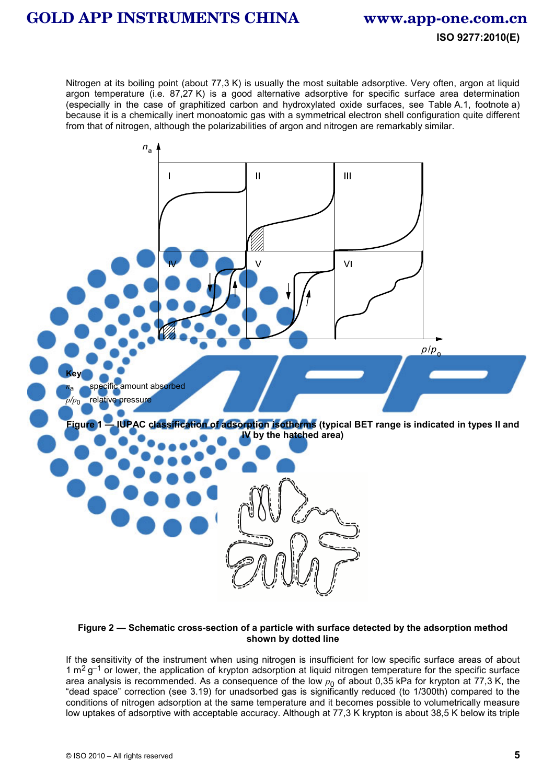**ISO 9277:2010(E)** 

Nitrogen at its boiling point (about 77,3 K) is usually the most suitable adsorptive. Very often, argon at liquid argon temperature (i.e. 87,27 K) is a good alternative adsorptive for specific surface area determination (especially in the case of graphitized carbon and hydroxylated oxide surfaces, see Table A.1, footnote a) because it is a chemically inert monoatomic gas with a symmetrical electron shell configuration quite different from that of nitrogen, although the polarizabilities of argon and nitrogen are remarkably similar.



#### **Figure 2 — Schematic cross-section of a particle with surface detected by the adsorption method shown by dotted line**

If the sensitivity of the instrument when using nitrogen is insufficient for low specific surface areas of about 1 m<sup>2</sup> g<sup>-1</sup> or lower, the application of krypton adsorption at liquid nitrogen temperature for the specific surface area analysis is recommended. As a consequence of the low  $p_0$  of about 0,35 kPa for krypton at 77,3 K, the "dead space" correction (see 3.19) for unadsorbed gas is significantly reduced (to 1/300th) compared to the conditions of nitrogen adsorption at the same temperature and it becomes possible to volumetrically measure low uptakes of adsorptive with acceptable accuracy. Although at 77,3 K krypton is about 38,5 K below its triple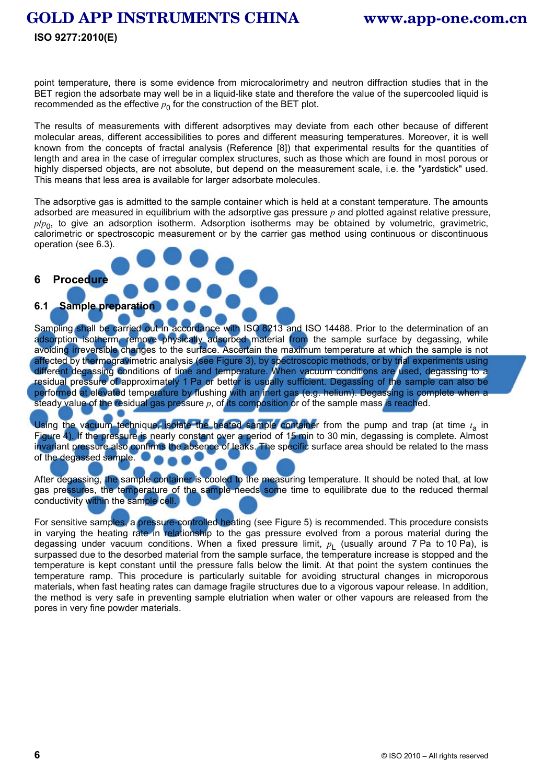**ISO 9277:2010(E)** 

point temperature, there is some evidence from microcalorimetry and neutron diffraction studies that in the BET region the adsorbate may well be in a liquid-like state and therefore the value of the supercooled liquid is recommended as the effective  $p_0$  for the construction of the BET plot.

The results of measurements with different adsorptives may deviate from each other because of different molecular areas, different accessibilities to pores and different measuring temperatures. Moreover, it is well known from the concepts of fractal analysis (Reference [8]) that experimental results for the quantities of length and area in the case of irregular complex structures, such as those which are found in most porous or highly dispersed objects, are not absolute, but depend on the measurement scale, i.e. the "yardstick" used. This means that less area is available for larger adsorbate molecules.

The adsorptive gas is admitted to the sample container which is held at a constant temperature. The amounts adsorbed are measured in equilibrium with the adsorptive gas pressure *p* and plotted against relative pressure,  $p/p<sub>0</sub>$ , to give an adsorption isotherm. Adsorption isotherms may be obtained by volumetric, gravimetric, calorimetric or spectroscopic measurement or by the carrier gas method using continuous or discontinuous operation (see 6.3).

#### <span id="page-9-0"></span>**6 Procedure**

#### <span id="page-9-1"></span>**6.1 Sample preparation**

Sampling shall be carried out in accordance with ISO 8213 and ISO 14488. Prior to the determination of an adsorption isotherm, remove physically adsorbed material from the sample surface by degassing, while avoiding irreversible changes to the surface. Ascertain the maximum temperature at which the sample is not affected by thermogravimetric analysis (see Figure 3), by spectroscopic methods, or by trial experiments using different degassing conditions of time and temperature. When vacuum conditions are used, degassing to a residual pressure of approximately 1 Pa or better is usually sufficient. Degassing of the sample can also be performed at elevated temperature by flushing with an inert gas (e.g. helium). Degassing is complete when a steady value of the residual gas pressure *p*, of its composition or of the sample mass is reached.

Using the vacuum technique, isolate the heated sample container from the pump and trap (at time *t* a in Figure 4). If the pressure is nearly constant over a period of 15 min to 30 min, degassing is complete. Almost invariant pressure also confirms the absence of leaks. The specific surface area should be related to the mass of the degassed sample.

After degassing, the sample container is cooled to the measuring temperature. It should be noted that, at low gas pressures, the temperature of the sample needs some time to equilibrate due to the reduced thermal conductivity within the sample cell.

For sensitive samples, a pressure-controlled heating (see Figure 5) is recommended. This procedure consists in varying the heating rate in relationship to the gas pressure evolved from a porous material during the degassing under vacuum conditions. When a fixed pressure limit,  $p_L$  (usually around 7 Pa to 10 Pa), is surpassed due to the desorbed material from the sample surface, the temperature increase is stopped and the temperature is kept constant until the pressure falls below the limit. At that point the system continues the temperature ramp. This procedure is particularly suitable for avoiding structural changes in microporous materials, when fast heating rates can damage fragile structures due to a vigorous vapour release. In addition, the method is very safe in preventing sample elutriation when water or other vapours are released from the pores in very fine powder materials.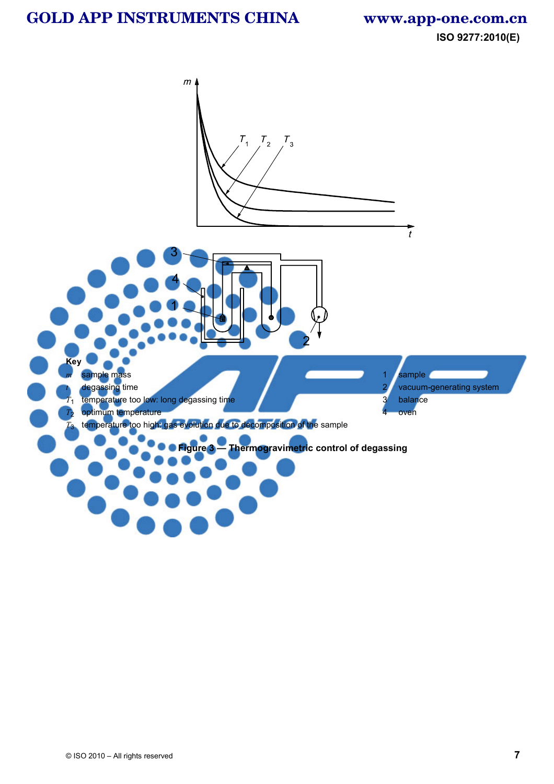**ISO 9277:2010(E)** 

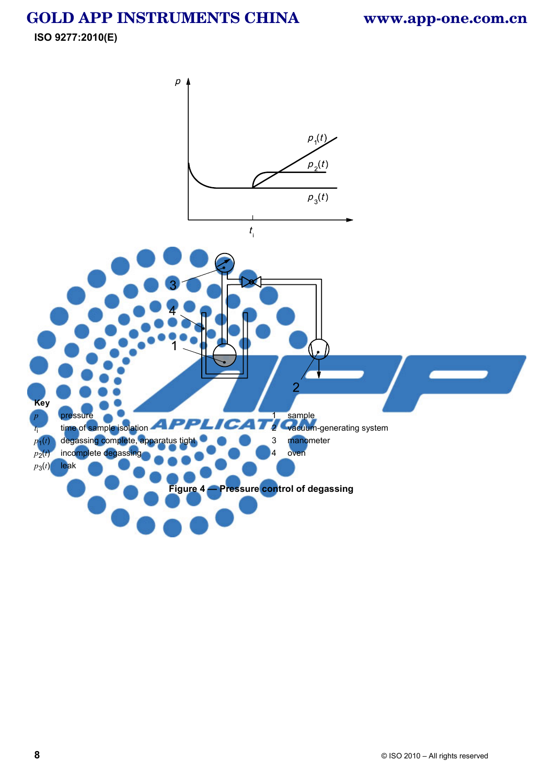**ISO 9277:2010(E)** 

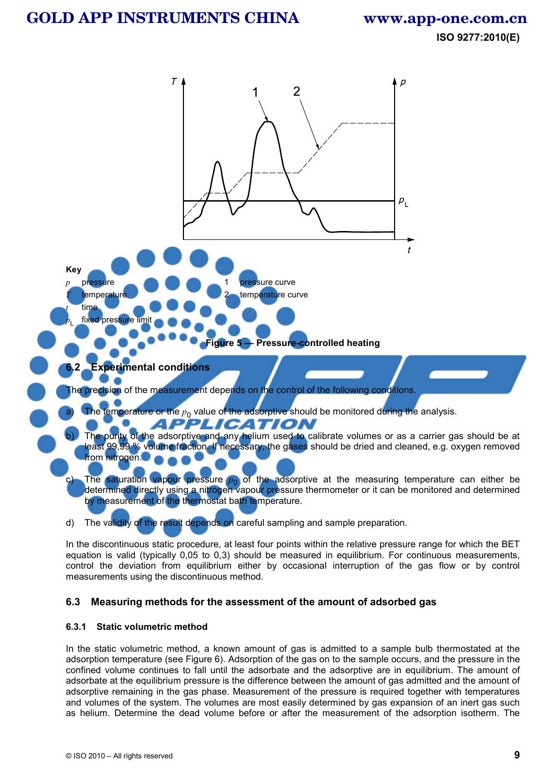**ISO 9277:2010(E)** 



<span id="page-12-0"></span>In the discontinuous static procedure, at least four points within the relative pressure range for which the BET equation is valid (typically 0,05 to 0,3) should be measured in equilibrium. For continuous measurements, control the deviation from equilibrium either by occasional interruption of the gas flow or by control measurements using the discontinuous method.

#### <span id="page-12-1"></span>**6.3 Measuring methods for the assessment of the amount of adsorbed gas**

#### **6.3.1 Static volumetric method**

In the static volumetric method, a known amount of gas is admitted to a sample bulb thermostated at the adsorption temperature (see Figure 6). Adsorption of the gas on to the sample occurs, and the pressure in the confined volume continues to fall until the adsorbate and the adsorptive are in equilibrium. The amount of adsorbate at the equilibrium pressure is the difference between the amount of gas admitted and the amount of adsorptive remaining in the gas phase. Measurement of the pressure is required together with temperatures and volumes of the system. The volumes are most easily determined by gas expansion of an inert gas such as helium. Determine the dead volume before or after the measurement of the adsorption isotherm. The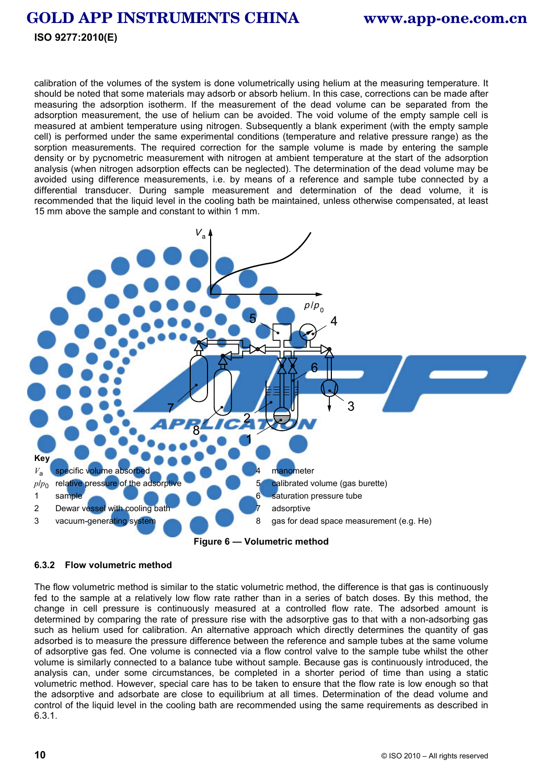**ISO 9277:2010(E)** 

calibration of the volumes of the system is done volumetrically using helium at the measuring temperature. It should be noted that some materials may adsorb or absorb helium. In this case, corrections can be made after measuring the adsorption isotherm. If the measurement of the dead volume can be separated from the adsorption measurement, the use of helium can be avoided. The void volume of the empty sample cell is measured at ambient temperature using nitrogen. Subsequently a blank experiment (with the empty sample cell) is performed under the same experimental conditions (temperature and relative pressure range) as the sorption measurements. The required correction for the sample volume is made by entering the sample density or by pycnometric measurement with nitrogen at ambient temperature at the start of the adsorption analysis (when nitrogen adsorption effects can be neglected). The determination of the dead volume may be avoided using difference measurements, i.e. by means of a reference and sample tube connected by a differential transducer. During sample measurement and determination of the dead volume, it is recommended that the liquid level in the cooling bath be maintained, unless otherwise compensated, at least 15 mm above the sample and constant to within 1 mm.



#### **6.3.2 Flow volumetric method**

The flow volumetric method is similar to the static volumetric method, the difference is that gas is continuously fed to the sample at a relatively low flow rate rather than in a series of batch doses. By this method, the change in cell pressure is continuously measured at a controlled flow rate. The adsorbed amount is determined by comparing the rate of pressure rise with the adsorptive gas to that with a non-adsorbing gas such as helium used for calibration. An alternative approach which directly determines the quantity of gas adsorbed is to measure the pressure difference between the reference and sample tubes at the same volume of adsorptive gas fed. One volume is connected via a flow control valve to the sample tube whilst the other volume is similarly connected to a balance tube without sample. Because gas is continuously introduced, the analysis can, under some circumstances, be completed in a shorter period of time than using a static volumetric method. However, special care has to be taken to ensure that the flow rate is low enough so that the adsorptive and adsorbate are close to equilibrium at all times. Determination of the dead volume and control of the liquid level in the cooling bath are recommended using the same requirements as described in 6.3.1.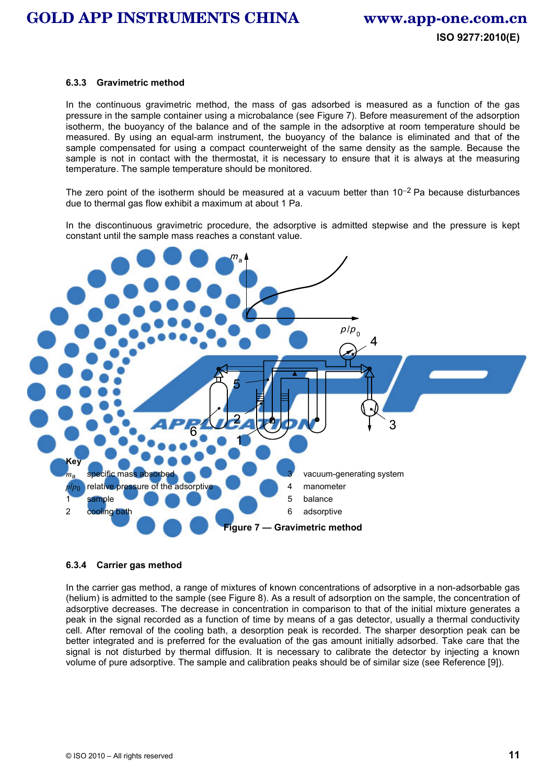#### **6.3.3 Gravimetric method**

In the continuous gravimetric method, the mass of gas adsorbed is measured as a function of the gas pressure in the sample container using a microbalance (see Figure 7). Before measurement of the adsorption isotherm, the buoyancy of the balance and of the sample in the adsorptive at room temperature should be measured. By using an equal-arm instrument, the buoyancy of the balance is eliminated and that of the sample compensated for using a compact counterweight of the same density as the sample. Because the sample is not in contact with the thermostat, it is necessary to ensure that it is always at the measuring temperature. The sample temperature should be monitored.

The zero point of the isotherm should be measured at a vacuum better than  $10^{-2}$  Pa because disturbances due to thermal gas flow exhibit a maximum at about 1 Pa.

In the discontinuous gravimetric procedure, the adsorptive is admitted stepwise and the pressure is kept constant until the sample mass reaches a constant value.



#### **6.3.4 Carrier gas method**

In the carrier gas method, a range of mixtures of known concentrations of adsorptive in a non-adsorbable gas (helium) is admitted to the sample (see Figure 8). As a result of adsorption on the sample, the concentration of adsorptive decreases. The decrease in concentration in comparison to that of the initial mixture generates a peak in the signal recorded as a function of time by means of a gas detector, usually a thermal conductivity cell. After removal of the cooling bath, a desorption peak is recorded. The sharper desorption peak can be better integrated and is preferred for the evaluation of the gas amount initially adsorbed. Take care that the signal is not disturbed by thermal diffusion. It is necessary to calibrate the detector by injecting a known volume of pure adsorptive. The sample and calibration peaks should be of similar size (see Reference [9]).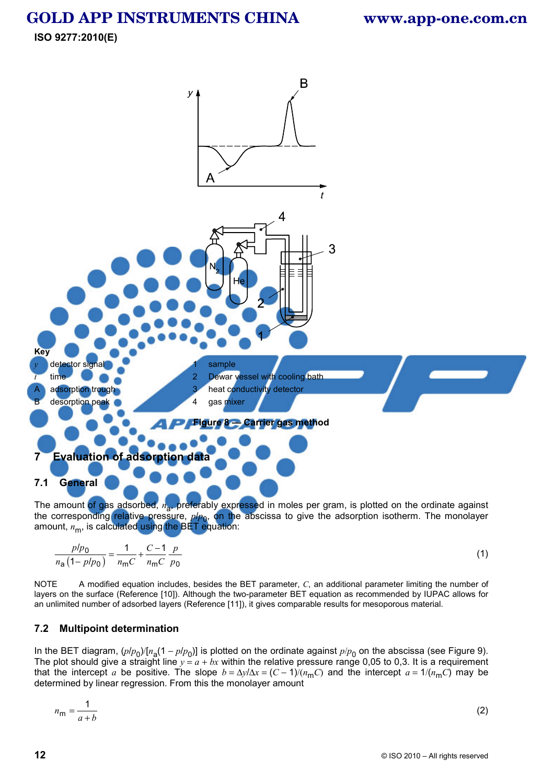**ISO 9277:2010(E)** 



<span id="page-15-1"></span><span id="page-15-0"></span>The amount of gas adsorbed,  $n_a$ , preferably expressed in moles per gram, is plotted on the ordinate against the corresponding relative pressure, *p*/*p*0, on the abscissa to give the adsorption isotherm. The monolayer amount, *n*m, is calculated using the BET equation:

$$
\frac{p/p_0}{n_a(1-p/p_0)} = \frac{1}{n_m C} + \frac{C-1}{n_m C} \frac{p}{p_0}
$$
 (1)

NOTE A modified equation includes, besides the BET parameter, *C*, an additional parameter limiting the number of layers on the surface (Reference [10]). Although the two-parameter BET equation as recommended by IUPAC allows for an unlimited number of adsorbed layers (Reference [11]), it gives comparable results for mesoporous material.

### <span id="page-15-2"></span>**7.2 Multipoint determination**

In the BET diagram,  $(p/p_0)/[n_a(1 - p/p_0)]$  is plotted on the ordinate against  $p/p_0$  on the abscissa (see Figure 9). The plot should give a straight line  $y = a + bx$  within the relative pressure range 0,05 to 0,3. It is a requirement that the intercept *a* be positive. The slope  $b = \Delta y / \Delta x = (C - 1) / (n_m C)$  and the intercept  $a = 1 / (n_m C)$  may be determined by linear regression. From this the monolayer amount

$$
n_{\rm m} = \frac{1}{a+b} \tag{2}
$$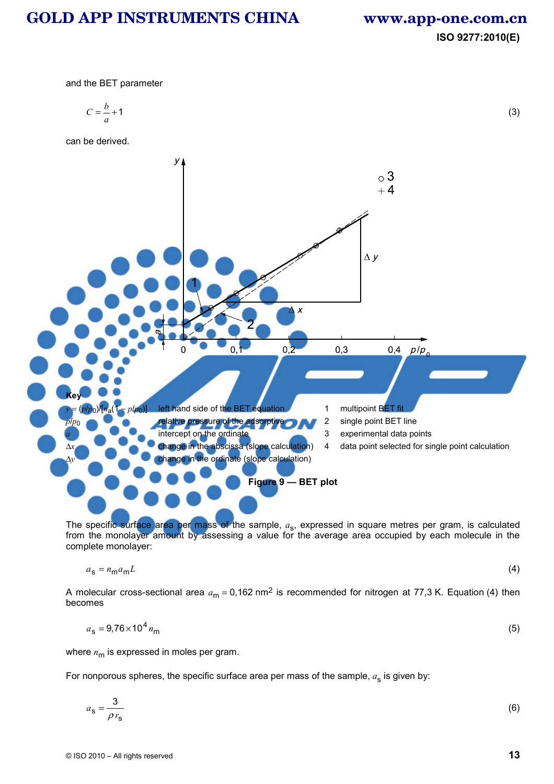**ISO 9277:2010(E)** 

and the BET parameter

$$
C = \frac{b}{a} + 1
$$
\ncan be derived.

\n

The specific surface area per mass of the sample, *a*s, expressed in square metres per gram, is calculated from the monolayer amount by assessing a value for the average area occupied by each molecule in the complete monolayer:

$$
a_{\rm s} = n_{\rm m} a_{\rm m} L \tag{4}
$$

A molecular cross-sectional area  $a_m = 0.162$  nm<sup>2</sup> is recommended for nitrogen at 77,3 K. Equation (4) then becomes

$$
a_{\rm s} = 9.76 \times 10^4 n_{\rm m} \tag{5}
$$

where  $n_{\rm m}$  is expressed in moles per gram.

For nonporous spheres, the specific surface area per mass of the sample,  $a_s$  is given by:

$$
a_{\rm s} = \frac{3}{\rho \, r_{\rm s}}\tag{6}
$$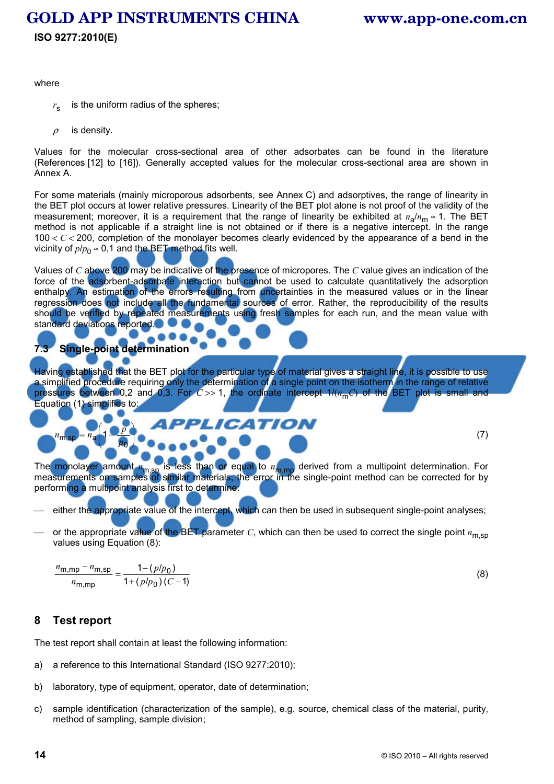**ISO 9277:2010(E)** 

where

- $r<sub>s</sub>$  is the uniform radius of the spheres;
- $\rho$  is density.

Values for the molecular cross-sectional area of other adsorbates can be found in the literature (References [12] to [16]). Generally accepted values for the molecular cross-sectional area are shown in Annex A.

For some materials (mainly microporous adsorbents, see Annex C) and adsorptives, the range of linearity in the BET plot occurs at lower relative pressures. Linearity of the BET plot alone is not proof of the validity of the measurement; moreover, it is a requirement that the range of linearity be exhibited at  $n_a/n_m \approx 1$ . The BET method is not applicable if a straight line is not obtained or if there is a negative intercept. In the range 100 < *C* < 200, completion of the monolayer becomes clearly evidenced by the appearance of a bend in the vicinity of  $p/p_0 \approx 0.1$  and the BET method fits well.

Values of *C* above 200 may be indicative of the presence of micropores. The *C* value gives an indication of the force of the adsorbent-adsorbate interaction but cannot be used to calculate quantitatively the adsorption enthalpy. An estimation of the errors resulting from uncertainties in the measured values or in the linear regression does not include all the fundamental sources of error. Rather, the reproducibility of the results should be verified by repeated measurements using fresh samples for each run, and the mean value with standard deviations reported.<sup>1</sup>

## <span id="page-17-0"></span>**7.3 Single-point determination**

Having established that the BET plot for the particular type of material gives a straight line, it is possible to use a simplified procedure requiring only the determination of a single point on the isotherm in the range of relative pressures between 0,2 and 0,3. For  $C > 1$ , the ordinate intercept  $1/(n<sub>m</sub>C)$  of the BET plot is small and Equation (1) simplifies to:



(7)

The monolayer amount  $n_{\text{m,sp}}$  is less than or equal to  $n_{\text{m,mp}}$  derived from a multipoint determination. For measurements on samples of similar materials, the error in the single-point method can be corrected for by performing a multipoint analysis first to determine:

- either the appropriate value of the intercept, which can then be used in subsequent single-point analyses;
- or the appropriate value of the BET parameter *C*, which can then be used to correct the single point  $n_{\text{m,SD}}$ values using Equation (8):

$$
\frac{n_{\text{m,mp}} - n_{\text{m,sp}}}{n_{\text{m,mp}}} = \frac{1 - (p/p_0)}{1 + (p/p_0)(C - 1)}
$$

(8)

### <span id="page-17-1"></span>**8 Test report**

The test report shall contain at least the following information:

- a) a reference to this International Standard (ISO 9277:2010);
- b) laboratory, type of equipment, operator, date of determination;
- c) sample identification (characterization of the sample), e.g. source, chemical class of the material, purity, method of sampling, sample division;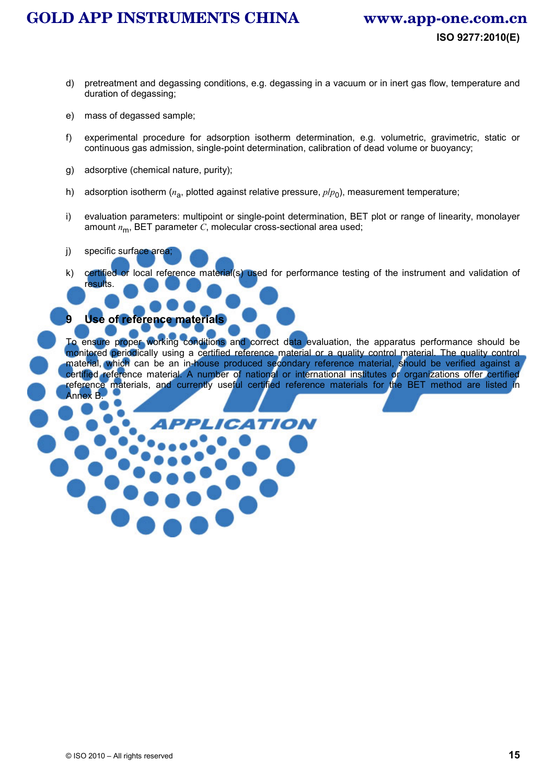**ISO 9277:2010(E)** 

- d) pretreatment and degassing conditions, e.g. degassing in a vacuum or in inert gas flow, temperature and duration of degassing;
- e) mass of degassed sample;
- f) experimental procedure for adsorption isotherm determination, e.g. volumetric, gravimetric, static or continuous gas admission, single-point determination, calibration of dead volume or buoyancy;
- g) adsorptive (chemical nature, purity);
- h) adsorption isotherm ( $n_a$ , plotted against relative pressure,  $p/p_0$ ), measurement temperature;
- i) evaluation parameters: multipoint or single-point determination, BET plot or range of linearity, monolayer amount  $n_m$ , BET parameter *C*, molecular cross-sectional area used;
- j) specific surface area;
- k) certified or local reference material(s) used for performance testing of the instrument and validation of results.

#### <span id="page-18-0"></span>**Use of reference materials**

To ensure proper working conditions and correct data evaluation, the apparatus performance should be monitored periodically using a certified reference material or a quality control material. The quality control material, which can be an in-house produced secondary reference material, should be verified against a certified reference material. A number of national or international institutes or organizations offer certified reference materials, and currently useful certified reference materials for the BET method are listed in Annex B.

CATIO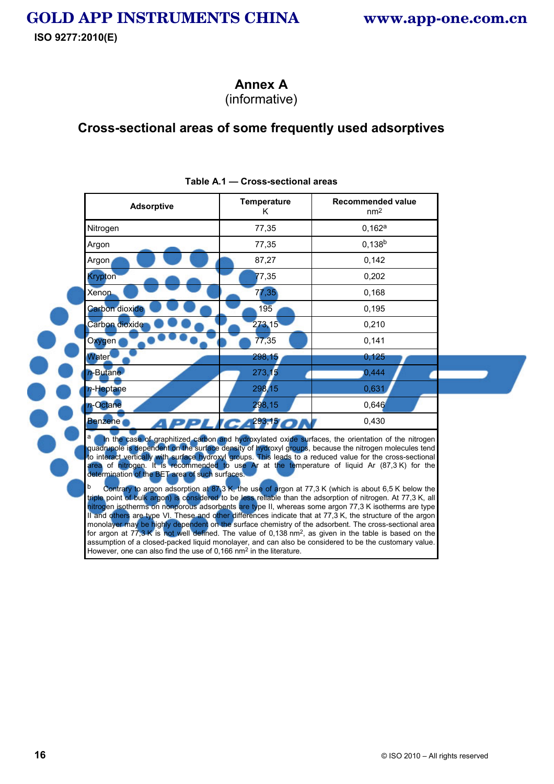27

### **ISO 9277:2010(E) GOLD APP INSTRUMENTS CHINA www.app-one.com.cn**

**Annex A**

<span id="page-19-0"></span>(informative)

### **Cross-sectional areas of some frequently used adsorptives**

| <b>Adsorptive</b>          | <b>Temperature</b><br>Κ    | <b>Recommended value</b><br>nm <sup>2</sup> |
|----------------------------|----------------------------|---------------------------------------------|
| Nitrogen                   | 77,35                      | $0,162^a$                                   |
| Argon                      | 77,35                      | $0,138^{b}$                                 |
| Argon                      | 87,27                      | 0,142                                       |
| <b>Krypton</b>             | 77,35                      | 0,202                                       |
| <b>Xenon</b>               | 77,35                      | 0,168                                       |
| <b>Carbon dioxide</b>      | 195                        | 0,195                                       |
| Carbon dioxide             | 273,15                     | 0,210                                       |
| Oxygen                     | 77,35                      | 0,141                                       |
| <b>Water</b>               | 298,15                     | 0,125                                       |
| n-Butane                   | 273,15                     | 0,444                                       |
| n-Heptane                  | 298,15                     | 0,631                                       |
| n-Octane                   | 298,15                     | 0,646                                       |
| <b>Benzene</b><br><b>A</b> | PPLICA <sup>93,15</sup> ON | 0,430                                       |

#### **Table A.1 — Cross-sectional areas**

<sup>a</sup> In the case of graphitized carbon and hydroxylated oxide surfaces, the orientation of the nitrogen quadrupole is dependent on the surface density of hydroxyl groups, because the nitrogen molecules tend to interact vertically with surface hydroxyl groups. This leads to a reduced value for the cross-sectional area of nitrogen. It is recommended to use Ar at the temperature of liquid Ar (87,3 K) for the determination of the BET area of such surfaces.

<sup>b</sup> Contrary to argon adsorption at 87,3 K, the use of argon at 77,3 K (which is about 6,5 K below the triple point of bulk argon) is considered to be less reliable than the adsorption of nitrogen. At 77,3 K, all nitrogen isotherms on nonporous adsorbents are type II, whereas some argon 77,3 K isotherms are type II and others are type VI. These and other differences indicate that at 77,3 K, the structure of the argon monolayer may be highly dependent on the surface chemistry of the adsorbent. The cross-sectional area for argon at 77,3 K is not well defined. The value of 0,138 nm<sup>2</sup>, as given in the table is based on the assumption of a closed-packed liquid monolayer, and can also be considered to be the customary value. However, one can also find the use of 0,166 nm<sup>2</sup> in the literature.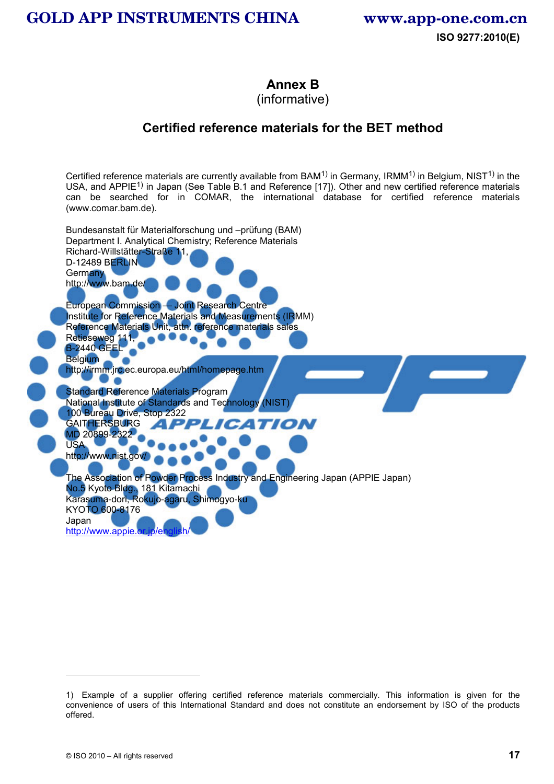### **Annex B**

<span id="page-20-0"></span>(informative)

### **Certified reference materials for the BET method**

Certified reference materials are currently available from BAM<sup>1)</sup> in Germany, IRMM<sup>1)</sup> in Belgium, NIST<sup>1)</sup> in the USA, and APPIE<sup>1)</sup> in Japan (See Table B.1 and Reference [17]). Other and new certified reference materials can be searched for in COMAR, the international database for certified reference materials (www.comar.bam.de).



l

<span id="page-20-1"></span><sup>1)</sup> Example of a supplier offering certified reference materials commercially. This information is given for the convenience of users of this International Standard and does not constitute an endorsement by ISO of the products offered.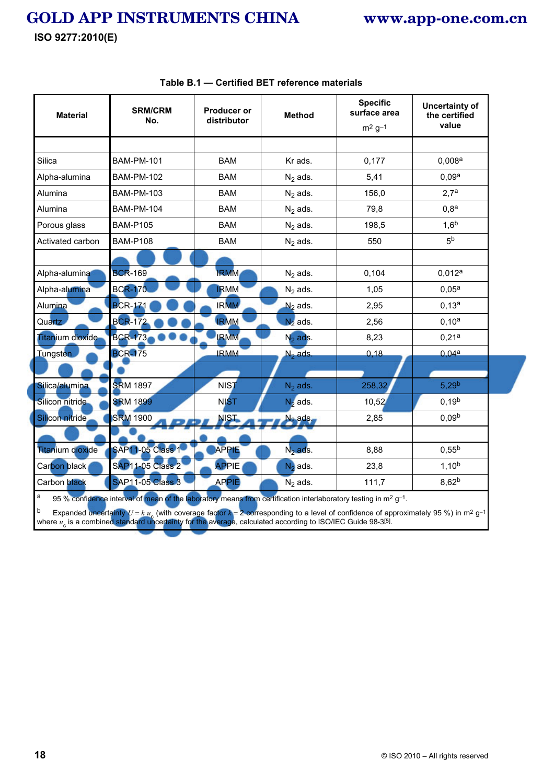$\overline{\phantom{a}}$ 

**ISO 9277:2010(E)** 

| <b>Material</b>                                                                                                                                                                                                                                                                                                                                                                                                                                    | <b>SRM/CRM</b><br>No.   | <b>Producer or</b><br>distributor | <b>Method</b>       | <b>Specific</b><br>surface area<br>$m^2$ g <sup>-1</sup> | <b>Uncertainty of</b><br>the certified<br>value |  |  |  |
|----------------------------------------------------------------------------------------------------------------------------------------------------------------------------------------------------------------------------------------------------------------------------------------------------------------------------------------------------------------------------------------------------------------------------------------------------|-------------------------|-----------------------------------|---------------------|----------------------------------------------------------|-------------------------------------------------|--|--|--|
|                                                                                                                                                                                                                                                                                                                                                                                                                                                    |                         |                                   |                     |                                                          |                                                 |  |  |  |
| Silica                                                                                                                                                                                                                                                                                                                                                                                                                                             | <b>BAM-PM-101</b>       | <b>BAM</b>                        | Kr ads.             | 0,177                                                    | 0,008a                                          |  |  |  |
| Alpha-alumina                                                                                                                                                                                                                                                                                                                                                                                                                                      | <b>BAM-PM-102</b>       | <b>BAM</b>                        | $N_2$ ads.          | 5,41                                                     | 0,09 <sup>a</sup>                               |  |  |  |
| Alumina                                                                                                                                                                                                                                                                                                                                                                                                                                            | <b>BAM-PM-103</b>       | <b>BAM</b>                        | $N_2$ ads.          | 156,0                                                    | $2,7^a$                                         |  |  |  |
| Alumina                                                                                                                                                                                                                                                                                                                                                                                                                                            | <b>BAM-PM-104</b>       | <b>BAM</b>                        | $N_2$ ads.          | 79,8                                                     | 0,8 <sup>a</sup>                                |  |  |  |
| Porous glass                                                                                                                                                                                                                                                                                                                                                                                                                                       | <b>BAM-P105</b>         | <b>BAM</b>                        | $N_2$ ads.          | 198,5                                                    | 1,6 <sup>b</sup>                                |  |  |  |
| Activated carbon                                                                                                                                                                                                                                                                                                                                                                                                                                   | <b>BAM-P108</b>         | <b>BAM</b>                        | $N_2$ ads.          | 550                                                      | 5 <sup>b</sup>                                  |  |  |  |
|                                                                                                                                                                                                                                                                                                                                                                                                                                                    |                         |                                   |                     |                                                          |                                                 |  |  |  |
| Alpha-alumina                                                                                                                                                                                                                                                                                                                                                                                                                                      | <b>BCR-169</b>          | <b>IRMM</b>                       | $N_2$ ads.          | 0,104                                                    | 0,012a                                          |  |  |  |
| Alpha-alumina                                                                                                                                                                                                                                                                                                                                                                                                                                      | <b>BCR-170</b>          | <b>IRMM</b>                       | $N_2$ ads.          | 1,05                                                     | $0,05^a$                                        |  |  |  |
| Alumina                                                                                                                                                                                                                                                                                                                                                                                                                                            | <b>BCR-171</b>          | <b>IRMM</b>                       | $N2$ ads.           | 2,95                                                     | 0,13 <sup>a</sup>                               |  |  |  |
| Quartz                                                                                                                                                                                                                                                                                                                                                                                                                                             | <b>BCR-172</b>          | <b>IRMM</b>                       | $N_2$ ads.          | 2,56                                                     | $0,10^a$                                        |  |  |  |
| Titanium dioxide                                                                                                                                                                                                                                                                                                                                                                                                                                   | <b>BCR-173</b>          | <b>IRMM</b>                       | $N_2$ ads.          | 8,23                                                     | 0.21a                                           |  |  |  |
| Tungsten                                                                                                                                                                                                                                                                                                                                                                                                                                           | <b>BCR-175</b>          | <b>IRMM</b>                       | N <sub>2</sub> ads. | 0,18                                                     | $0,04^a$                                        |  |  |  |
|                                                                                                                                                                                                                                                                                                                                                                                                                                                    |                         |                                   |                     |                                                          |                                                 |  |  |  |
| Silica/alumina                                                                                                                                                                                                                                                                                                                                                                                                                                     | <b>SRM 1897</b>         | <b>NIST</b>                       | $N_2$ ads.          | 258,32                                                   | 5,29 <sup>b</sup>                               |  |  |  |
| Silicon nitride                                                                                                                                                                                                                                                                                                                                                                                                                                    | <b>SRM 1899</b>         | <b>NIST</b>                       | $N_2$ ads.          | 10,52                                                    | 0,19 <sup>b</sup>                               |  |  |  |
| Silicon nitride                                                                                                                                                                                                                                                                                                                                                                                                                                    | <b>SRM 1900</b>         | <b>NIST</b>                       | $N_2$ ads.          | 2,85                                                     | 0,09 <sup>b</sup>                               |  |  |  |
|                                                                                                                                                                                                                                                                                                                                                                                                                                                    |                         |                                   |                     |                                                          |                                                 |  |  |  |
| Titanium dioxide                                                                                                                                                                                                                                                                                                                                                                                                                                   | <b>SAP11-05 Class 1</b> | <b>APPIE</b>                      | $N2$ ads.           | 8,88                                                     | $0,55^{b}$                                      |  |  |  |
| Carbon black                                                                                                                                                                                                                                                                                                                                                                                                                                       | <b>SAP11-05 Class 2</b> | <b>APPIE</b>                      | $N_2$ ads.          | 23,8                                                     | $1,10^{b}$                                      |  |  |  |
| Carbon black                                                                                                                                                                                                                                                                                                                                                                                                                                       | <b>SAP11-05 Class 3</b> | <b>APPIE</b>                      | $N2$ ads.           | 111,7                                                    | $8,62^{b}$                                      |  |  |  |
| a<br>95 % confidence interval of mean of the laboratory means from certification interlaboratory testing in m <sup>2</sup> g <sup>-1</sup> .<br>b<br>Expanded uncertainty $U = k u_c$ (with coverage factor $k = 2$ corresponding to a level of confidence of approximately 95 %) in m <sup>2</sup> g <sup>-1</sup><br>where $u_c$ is a combined standard uncertainty for the average, calculated according to ISO/IEC Guide 98-3 <sup>[5]</sup> . |                         |                                   |                     |                                                          |                                                 |  |  |  |

#### **Table B.1 — Certified BET reference materials**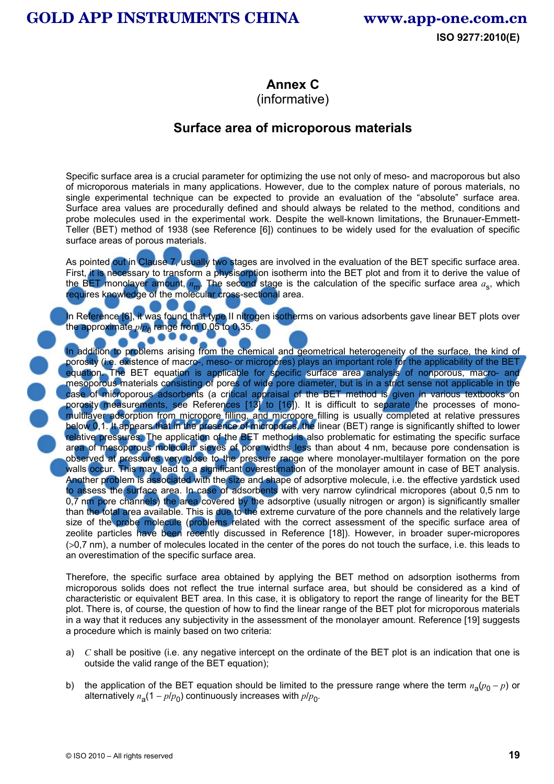### **Annex C**

<span id="page-22-0"></span>(informative)

### **Surface area of microporous materials**

Specific surface area is a crucial parameter for optimizing the use not only of meso- and macroporous but also of microporous materials in many applications. However, due to the complex nature of porous materials, no single experimental technique can be expected to provide an evaluation of the "absolute" surface area. Surface area values are procedurally defined and should always be related to the method, conditions and probe molecules used in the experimental work. Despite the well-known limitations, the Brunauer-Emmett-Teller (BET) method of 1938 (see Reference [6]) continues to be widely used for the evaluation of specific surface areas of porous materials.

As pointed out in Clause 7, usually two stages are involved in the evaluation of the BET specific surface area. First, it is necessary to transform a physisorption isotherm into the BET plot and from it to derive the value of the BET monolayer amount,  $n_m$ . The second stage is the calculation of the specific surface area  $a_s$ , which requires knowledge of the molecular cross-sectional area.

In Reference [6], it was found that type II nitrogen isotherms on various adsorbents gave linear BET plots over the approximate  $p/p_0$  range from 0,05 to 0,35.

In addition to problems arising from the chemical and geometrical heterogeneity of the surface, the kind of porosity (i.e. existence of macro-, meso- or micropores) plays an important role for the applicability of the BET equation. The BET equation is applicable for specific surface area analysis of nonporous, macro- and mesoporous materials consisting of pores of wide pore diameter, but is in a strict sense not applicable in the case of microporous adsorbents (a critical appraisal of the BET method is given in various textbooks on porosity measurements, see References [13] to [16]). It is difficult to separate the processes of monomultilayer adsorption from micropore filling, and micropore filling is usually completed at relative pressures below 0,1. It appears that in the presence of micropores, the linear (BET) range is significantly shifted to lower relative pressures. The application of the BET method is also problematic for estimating the specific surface area of mesoporous molecular sieves of pore widths less than about 4 nm, because pore condensation is observed at pressures very close to the pressure range where monolayer-multilayer formation on the pore walls occur. This may lead to a significant overestimation of the monolayer amount in case of BET analysis. Another problem is associated with the size and shape of adsorptive molecule, i.e. the effective yardstick used to assess the surface area. In case of adsorbents with very narrow cylindrical micropores (about 0,5 nm to 0,7 nm pore channels) the area covered by the adsorptive (usually nitrogen or argon) is significantly smaller than the total area available. This is due to the extreme curvature of the pore channels and the relatively large size of the probe molecule (problems related with the correct assessment of the specific surface area of zeolite particles have been recently discussed in Reference [18]). However, in broader super-micropores (>0,7 nm), a number of molecules located in the center of the pores do not touch the surface, i.e. this leads to an overestimation of the specific surface area.

Therefore, the specific surface area obtained by applying the BET method on adsorption isotherms from microporous solids does not reflect the true internal surface area, but should be considered as a kind of characteristic or equivalent BET area. In this case, it is obligatory to report the range of linearity for the BET plot. There is, of course, the question of how to find the linear range of the BET plot for microporous materials in a way that it reduces any subjectivity in the assessment of the monolayer amount. Reference [19] suggests a procedure which is mainly based on two criteria:

- a) *C* shall be positive (i.e. any negative intercept on the ordinate of the BET plot is an indication that one is outside the valid range of the BET equation);
- b) the application of the BET equation should be limited to the pressure range where the term  $n_a(p_0 p)$  or alternatively  $n_a(1 - p/p_0)$  continuously increases with  $p/p_0$ .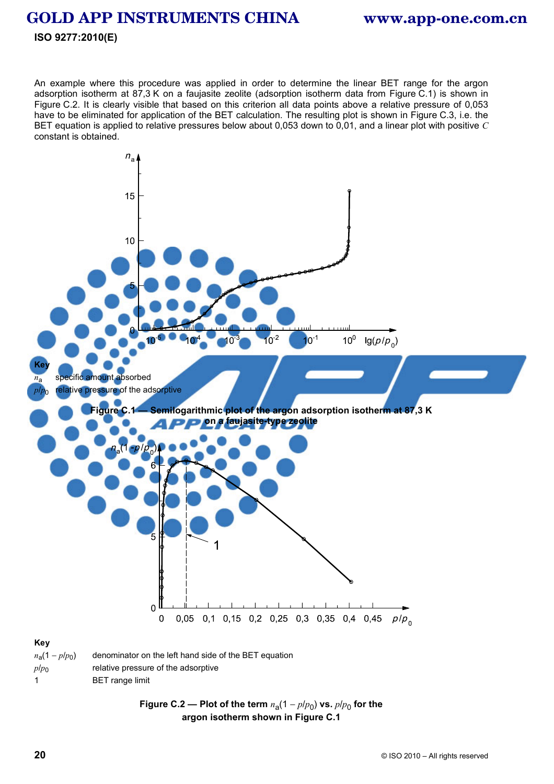**ISO 9277:2010(E)** 

An example where this procedure was applied in order to determine the linear BET range for the argon adsorption isotherm at 87,3 K on a faujasite zeolite (adsorption isotherm data from Figure C.1) is shown in Figure C.2. It is clearly visible that based on this criterion all data points above a relative pressure of 0,053 have to be eliminated for application of the BET calculation. The resulting plot is shown in Figure C.3, i.e. the BET equation is applied to relative pressures below about 0,053 down to 0,01, and a linear plot with positive *C* constant is obtained.



1 BET range limit

**Figure C.2 — Plot of the term**  $n_a(1 - p/p_0)$  **vs.**  $p/p_0$  **for the argon isotherm shown in Figure C.1**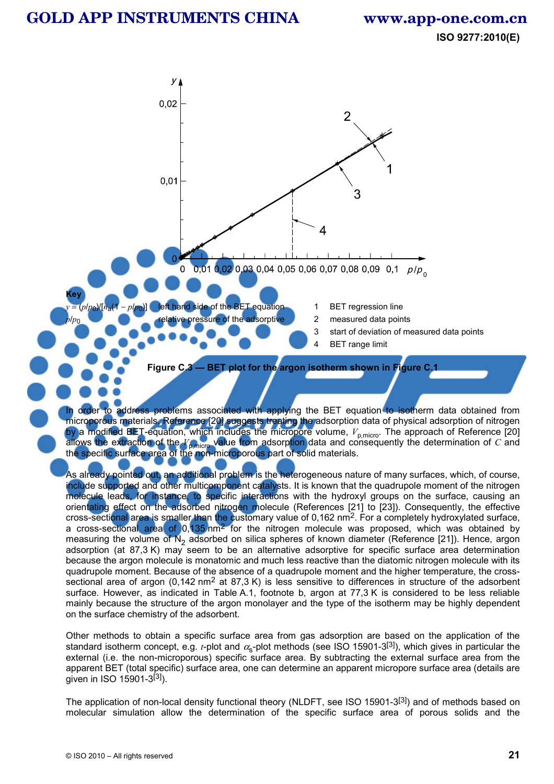**ISO 9277:2010(E)** 



to address problems associated with applying the BET equation to isotherm data obtained from microporous materials, Reference [20] suggests treating the adsorption data of physical adsorption of nitrogen by a modified BET-equation, which includes the micropore volume,  $V_{p,\text{micro}}$ . The approach of Reference [20] allows the extraction of the  $V_{\text{p,micro}}$  value from adsorption data and consequently the determination of *C* and the specific surface area of the non-microporous part of solid materials.

As already pointed out, an additional problem is the heterogeneous nature of many surfaces, which, of course, include supported and other multicomponent catalysts. It is known that the quadrupole moment of the nitrogen molecule leads, for instance, to specific interactions with the hydroxyl groups on the surface, causing an orientating effect on the adsorbed nitrogen molecule (References [21] to [23]). Consequently, the effective cross-sectional area is smaller than the customary value of 0,162 nm<sup>2</sup>. For a completely hydroxylated surface, a cross-sectional area of 0,135 nm<sup>2</sup> for the nitrogen molecule was proposed, which was obtained by measuring the volume of  $N_2$  adsorbed on silica spheres of known diameter (Reference [21]). Hence, argon adsorption (at 87,3 K) may seem to be an alternative adsorptive for specific surface area determination because the argon molecule is monatomic and much less reactive than the diatomic nitrogen molecule with its quadrupole moment. Because of the absence of a quadrupole moment and the higher temperature, the crosssectional area of argon (0,142 nm<sup>2</sup> at 87,3 K) is less sensitive to differences in structure of the adsorbent surface. However, as indicated in Table A.1, footnote b, argon at 77,3 K is considered to be less reliable mainly because the structure of the argon monolayer and the type of the isotherm may be highly dependent on the surface chemistry of the adsorbent.

Other methods to obtain a specific surface area from gas adsorption are based on the application of the standard isotherm concept, e.g. *t*-plot and α<sub>s</sub>-plot methods (see ISO 15901-3<sup>[3]</sup>), which gives in particular the external (i.e. the non-microporous) specific surface area. By subtracting the external surface area from the apparent BET (total specific) surface area, one can determine an apparent micropore surface area (details are given in ISO 15901-3<sup>[3]</sup>).

The application of non-local density functional theory (NLDFT, see ISO 15901-3[3]) and of methods based on molecular simulation allow the determination of the specific surface area of porous solids and the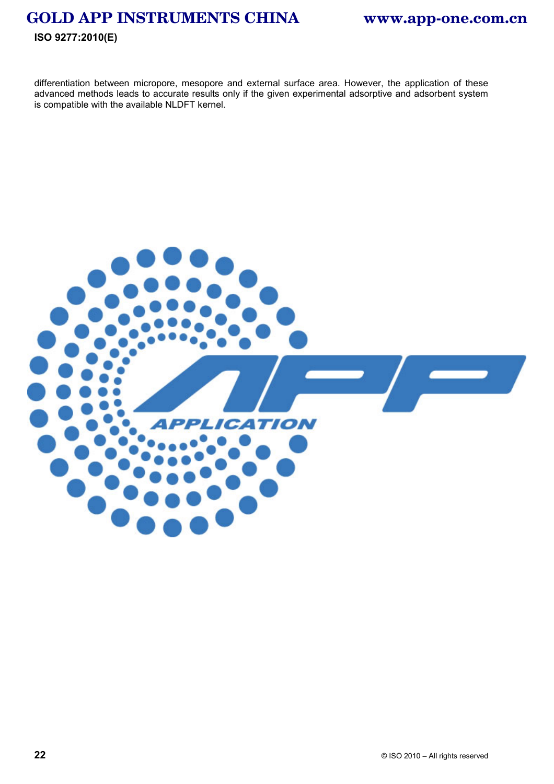**ISO 9277:2010(E)** 

differentiation between micropore, mesopore and external surface area. However, the application of these advanced methods leads to accurate results only if the given experimental adsorptive and adsorbent system is compatible with the available NLDFT kernel.

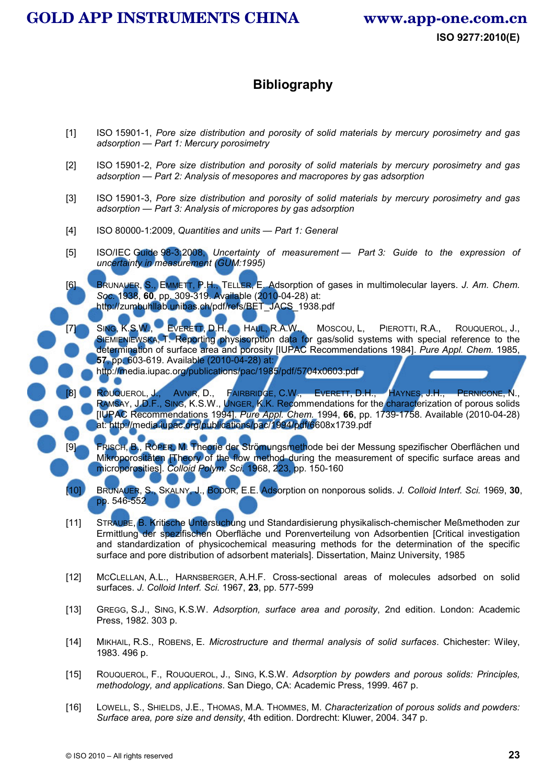### <span id="page-26-0"></span>**Bibliography**

- [1] ISO 15901-1, *Pore size distribution and porosity of solid materials by mercury porosimetry and gas adsorption — Part 1: Mercury porosimetry*
- [2] ISO 15901-2, *Pore size distribution and porosity of solid materials by mercury porosimetry and gas adsorption — Part 2: Analysis of mesopores and macropores by gas adsorption*
- [3] ISO 15901-3, *Pore size distribution and porosity of solid materials by mercury porosimetry and gas adsorption — Part 3: Analysis of micropores by gas adsorption*
- [4] ISO 80000-1:2009, *Quantities and units Part 1: General*
- [5] ISO/IEC Guide 98-3:2008, *Uncertainty of measurement Part 3: Guide to the expression of uncertainty in measurement (GUM:1995)*
- [6] BRUNAUER, S., EMMETT, P.H., TELLER, E. Adsorption of gases in multimolecular layers. *J. Am. Chem. Soc.* 1938, **60**, pp. 309-319. Available (2010-04-28) at: [http://zumbuhllab.unibas.ch/pdf/refs/BET\\_JACS\\_1938.pdf](http://zumbuhllab.unibas.ch/pdf/refs/BET_JACS_1938.pdf)
- [7] SING, K.S.W., EVERETT, D.H., HAUL, R.A.W., MOSCOU, L, PIEROTTI, R.A., ROUQUEROL, J., SIEMIENIEWSKA, T. Reporting physisorption data for gas/solid systems with special reference to the determination of surface area and porosity [IUPAC Recommendations 1984]. *Pure Appl. Chem.* 1985, **57**, pp. 603-619. Available (2010-04-28) at:
	- http://media.iupac.org/publications/pac/1985/pdf/5704x0603.pdf
- [8] ROUQUEROL, J., AVNIR, D., FAIRBRIDGE, C.W., EVERETT, D.H., HAYNES, J.H., PERNICONE, N., RAMSAY, J.D.F., SING, K.S.W., UNGER, K.K. Recommendations for the characterization of porous solids [IUPAC Recommendations 1994]. *Pure Appl. Chem.* 1994, **66**, pp. 1739-1758. Available (2010-04-28) at:<http://media.iupac.org/publications/pac/1994/pdf/6608x1739.pdf>
- [9] FRISCH, B., RÖPER, M. Theorie der Strömungsmethode bei der Messung spezifischer Oberflächen und Mikroporositäten [Theory of the flow method during the measurement of specific surface areas and microporosities]. *Colloid Polym. Sci.* 1968, 223, pp. 150-160
- [10] BRUNAUER, S., SKALNY, J., BODOR, E.E. Adsorption on nonporous solids. *J. Colloid Interf. Sci.* 1969, **30**, pp. 546-552
- [11] STRAUBE, B. Kritische Untersuchung und Standardisierung physikalisch-chemischer Meßmethoden zur Ermittlung der spezifischen Oberfläche und Porenverteilung von Adsorbentien [Critical investigation and standardization of physicochemical measuring methods for the determination of the specific surface and pore distribution of adsorbent materials]. Dissertation, Mainz University, 1985
- [12] MCCLELLAN, A.L., HARNSBERGER, A.H.F. Cross-sectional areas of molecules adsorbed on solid surfaces. *J. Colloid Interf. Sci.* 1967, **23**, pp. 577-599
- [13] GREGG, S.J., SING, K.S.W. *Adsorption, surface area and porosity*, 2nd edition. London: Academic Press, 1982. 303 p.
- [14] MIKHAIL, R.S., ROBENS, E. *Microstructure and thermal analysis of solid surfaces*. Chichester: Wiley, 1983. 496 p.
- [15] ROUQUEROL, F., ROUQUEROL, J., SING, K.S.W. *Adsorption by powders and porous solids: Principles, methodology, and applications*. San Diego, CA: Academic Press, 1999. 467 p.
- [16] LOWELL, S., SHIELDS, J.E., THOMAS, M.A. THOMMES, M. *Characterization of porous solids and powders: Surface area, pore size and density*, 4th edition. Dordrecht: Kluwer, 2004. 347 p.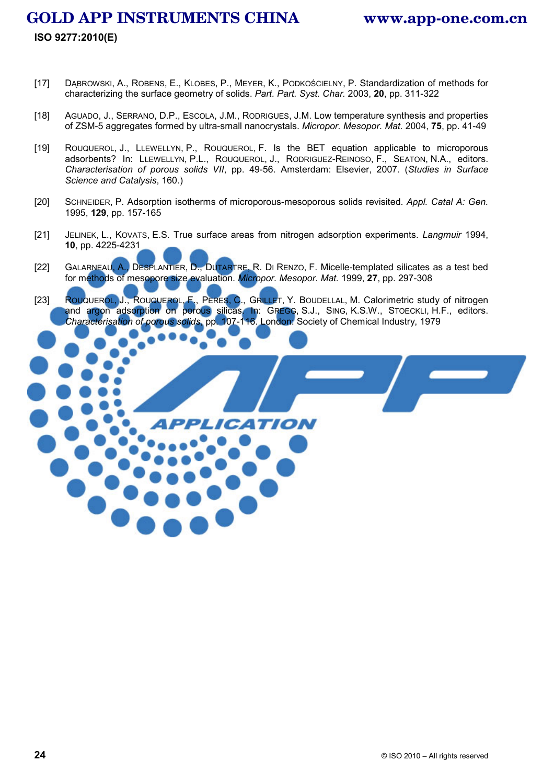- [17] DĄBROWSKI, A., ROBENS, E., KLOBES, P., MEYER, K., PODKOŚCIELNY, P. Standardization of methods for characterizing the surface geometry of solids. *Part. Part. Syst. Char.* 2003, **20**, pp. 311-322
- [18] AGUADO, J., SERRANO, D.P., ESCOLA, J.M., RODRIGUES, J.M. Low temperature synthesis and properties of ZSM-5 aggregates formed by ultra-small nanocrystals. *Micropor. Mesopor. Mat.* 2004, **75**, pp. 41-49
- [19] ROUQUEROL, J., LLEWELLYN, P., ROUQUEROL, F. Is the BET equation applicable to microporous adsorbents? In: LLEWELLYN, P.L., ROUQUEROL, J., RODRIGUEZ-REINOSO, F., SEATON, N.A., editors. *Characterisation of porous solids VII*, pp. 49-56. Amsterdam: Elsevier, 2007. (*Studies in Surface Science and Catalysis*, 160.)
- [20] SCHNEIDER, P. Adsorption isotherms of microporous-mesoporous solids revisited. *Appl. Catal A: Gen.* 1995, **129**, pp. 157-165
- [21] JELINEK, L., KOVATS, E.S. True surface areas from nitrogen adsorption experiments. *Langmuir* 1994, **10**, pp. 4225-4231
- [22] GALARNEAU, A., DESPLANTIER, D., DUTARTRE, R. DI RENZO, F. Micelle-templated silicates as a test bed for methods of mesopore size evaluation. *Micropor. Mesopor. Mat.* 1999, **27**, pp. 297-308
- [23] ROUQUEROL, J., ROUQUEROL, F., PERES, C., GRILLET, Y. BOUDELLAL, M. Calorimetric study of nitrogen and argon adsorption on porous silicas. In: GREGG, S.J., SING, K.S.W., STOECKLI, H.F., editors. *Characterisation of porous solids*, pp. 107-116. London: Society of Chemical Industry, 1979

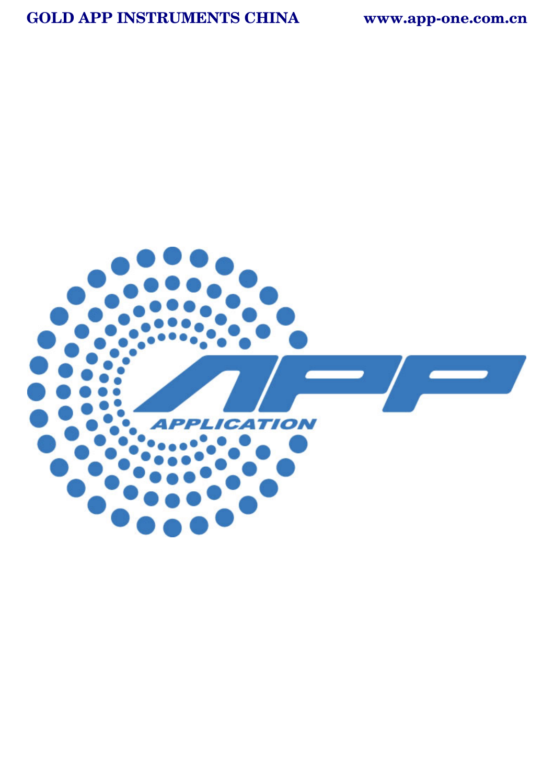